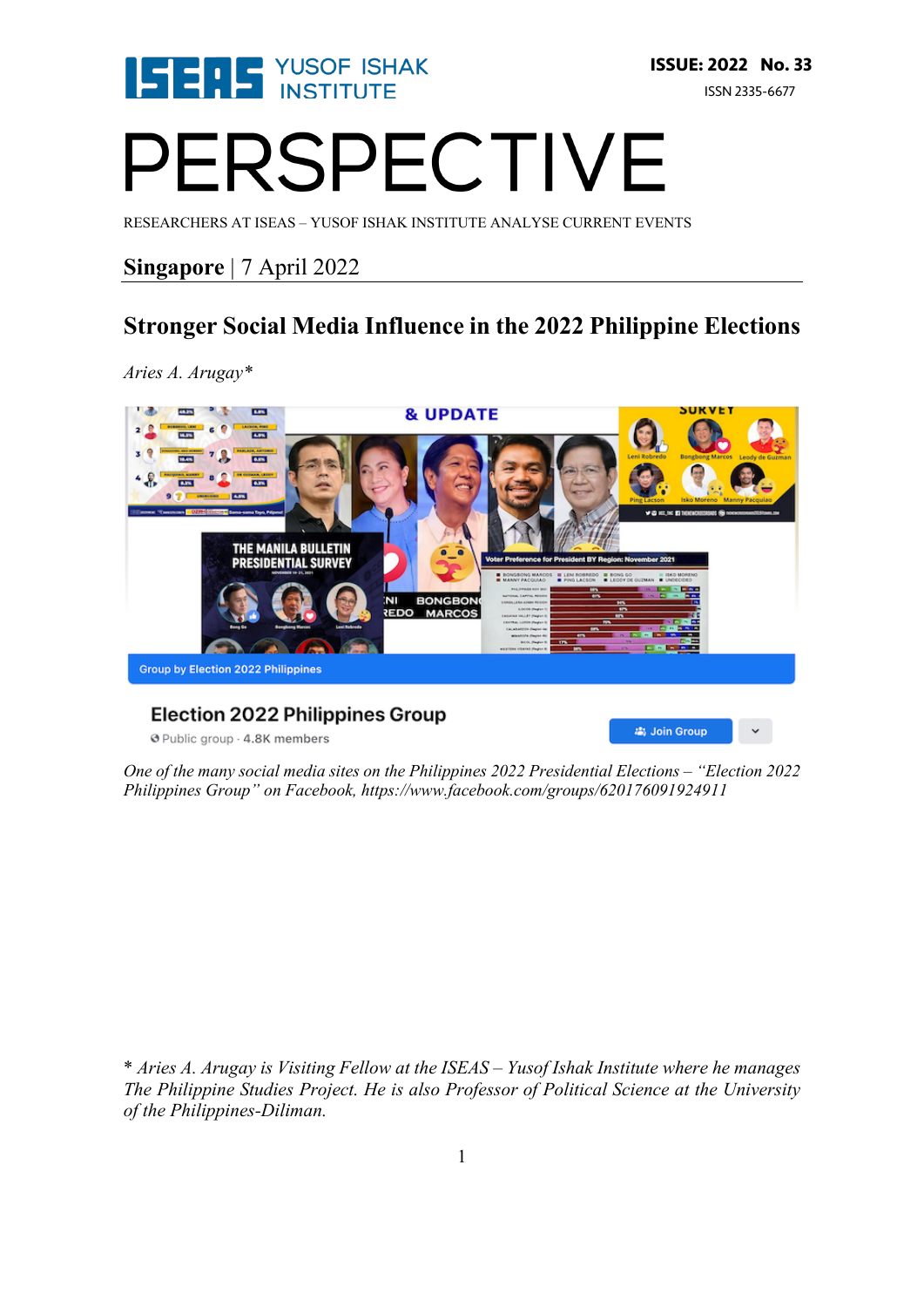

為 Join Group

# PERSPECTIVE

RESEARCHERS AT ISEAS – YUSOF ISHAK INSTITUTE ANALYSE CURRENT EVENTS

### **Singapore** | 7 April 2022

## **Stronger Social Media Influence in the 2022 Philippine Elections**

*Aries A. Arugay\**



#### **Election 2022 Philippines Group**

@ Public group - 4.8K members

*One of the many social media sites on the Philippines 2022 Presidential Elections – "Election 2022 Philippines Group" on Facebook, https://www.facebook.com/groups/620176091924911*

\* *Aries A. Arugay is Visiting Fellow at the ISEAS – Yusof Ishak Institute where he manages The Philippine Studies Project. He is also Professor of Political Science at the University of the Philippines-Diliman.*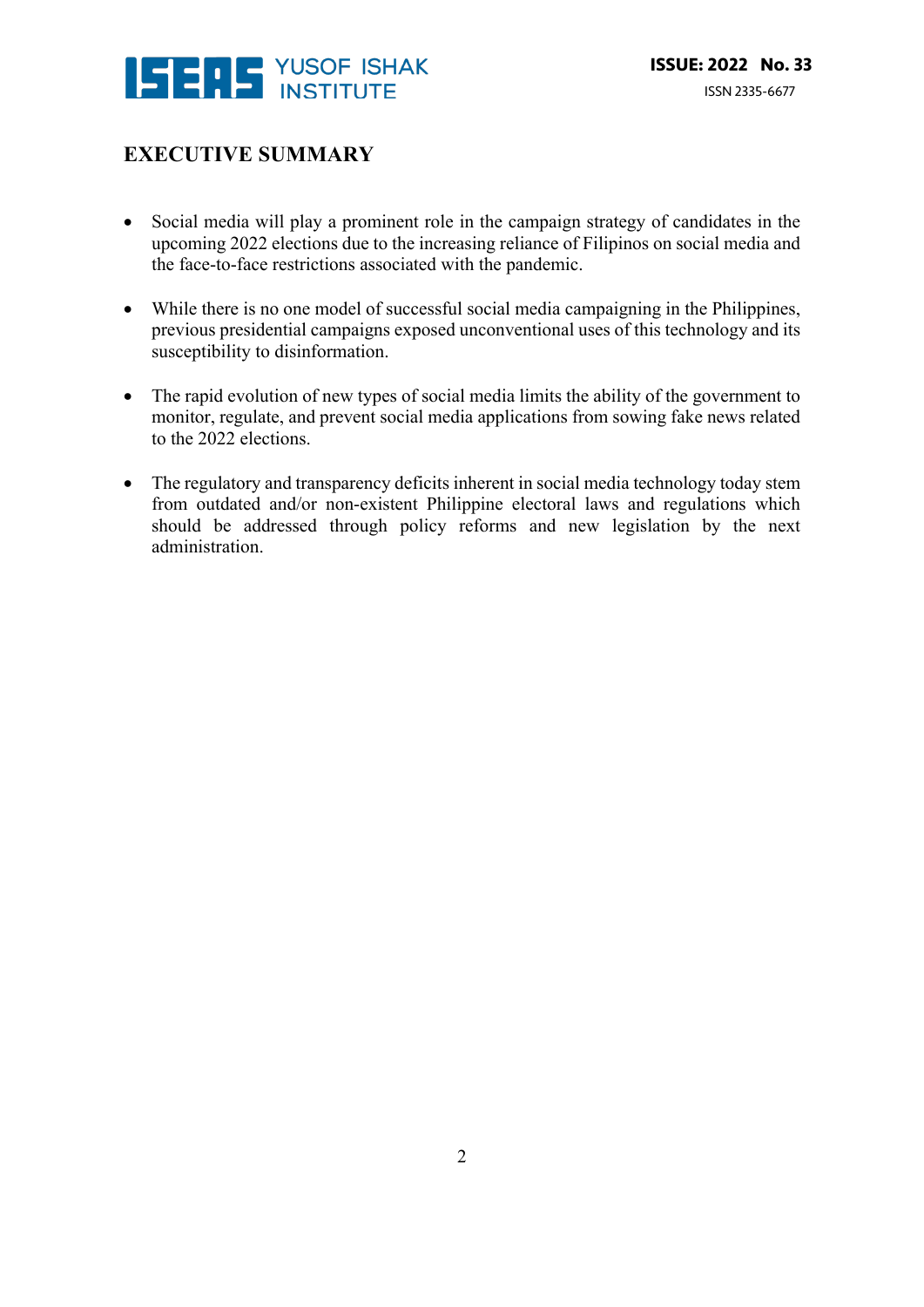

### **EXECUTIVE SUMMARY**

- Social media will play a prominent role in the campaign strategy of candidates in the upcoming 2022 elections due to the increasing reliance of Filipinos on social media and the face-to-face restrictions associated with the pandemic.
- While there is no one model of successful social media campaigning in the Philippines, previous presidential campaigns exposed unconventional uses of this technology and its susceptibility to disinformation.
- The rapid evolution of new types of social media limits the ability of the government to monitor, regulate, and prevent social media applications from sowing fake news related to the 2022 elections.
- The regulatory and transparency deficits inherent in social media technology today stem from outdated and/or non-existent Philippine electoral laws and regulations which should be addressed through policy reforms and new legislation by the next administration.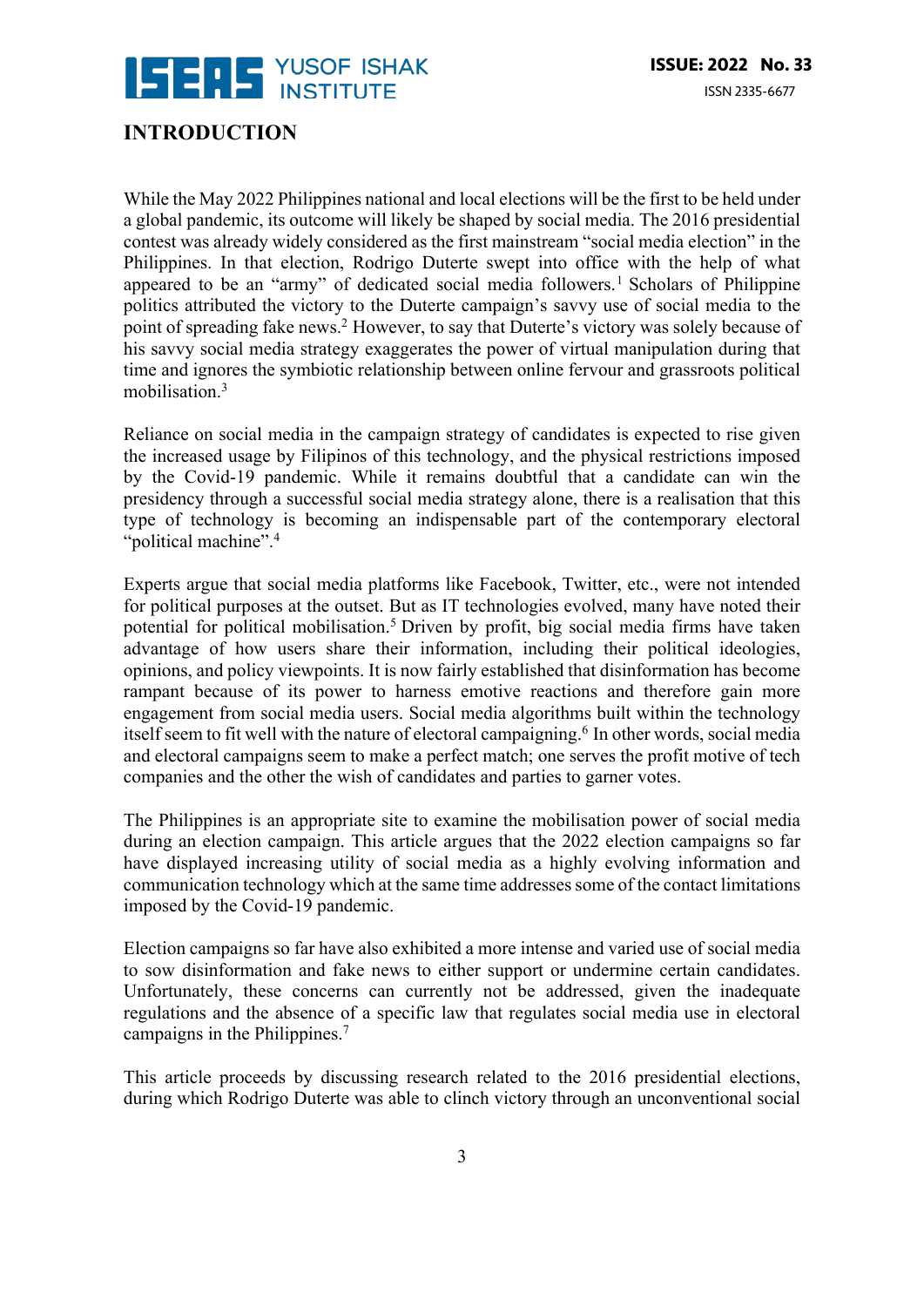

### **INTRODUCTION**

While the May 2022 Philippines national and local elections will be the first to be held under a global pandemic, its outcome will likely be shaped by social media. The 2016 presidential contest was already widely considered as the first mainstream "social media election" in the Philippines. In that election, Rodrigo Duterte swept into office with the help of what appeared to be an "army" of dedicated social media followers.<sup>1</sup> Scholars of Philippine politics attributed the victory to the Duterte campaign's savvy use of social media to the point of spreading fake news.2 However, to say that Duterte's victory was solely because of his savvy social media strategy exaggerates the power of virtual manipulation during that time and ignores the symbiotic relationship between online fervour and grassroots political mobilisation.3

Reliance on social media in the campaign strategy of candidates is expected to rise given the increased usage by Filipinos of this technology, and the physical restrictions imposed by the Covid-19 pandemic. While it remains doubtful that a candidate can win the presidency through a successful social media strategy alone, there is a realisation that this type of technology is becoming an indispensable part of the contemporary electoral "political machine".4

Experts argue that social media platforms like Facebook, Twitter, etc., were not intended for political purposes at the outset. But as IT technologies evolved, many have noted their potential for political mobilisation.<sup>5</sup> Driven by profit, big social media firms have taken advantage of how users share their information, including their political ideologies, opinions, and policy viewpoints. It is now fairly established that disinformation has become rampant because of its power to harness emotive reactions and therefore gain more engagement from social media users. Social media algorithms built within the technology itself seem to fit well with the nature of electoral campaigning.<sup>6</sup> In other words, social media and electoral campaigns seem to make a perfect match; one serves the profit motive of tech companies and the other the wish of candidates and parties to garner votes.

The Philippines is an appropriate site to examine the mobilisation power of social media during an election campaign. This article argues that the 2022 election campaigns so far have displayed increasing utility of social media as a highly evolving information and communication technology which at the same time addresses some of the contact limitations imposed by the Covid-19 pandemic.

Election campaigns so far have also exhibited a more intense and varied use of social media to sow disinformation and fake news to either support or undermine certain candidates. Unfortunately, these concerns can currently not be addressed, given the inadequate regulations and the absence of a specific law that regulates social media use in electoral campaigns in the Philippines.7

This article proceeds by discussing research related to the 2016 presidential elections, during which Rodrigo Duterte was able to clinch victory through an unconventional social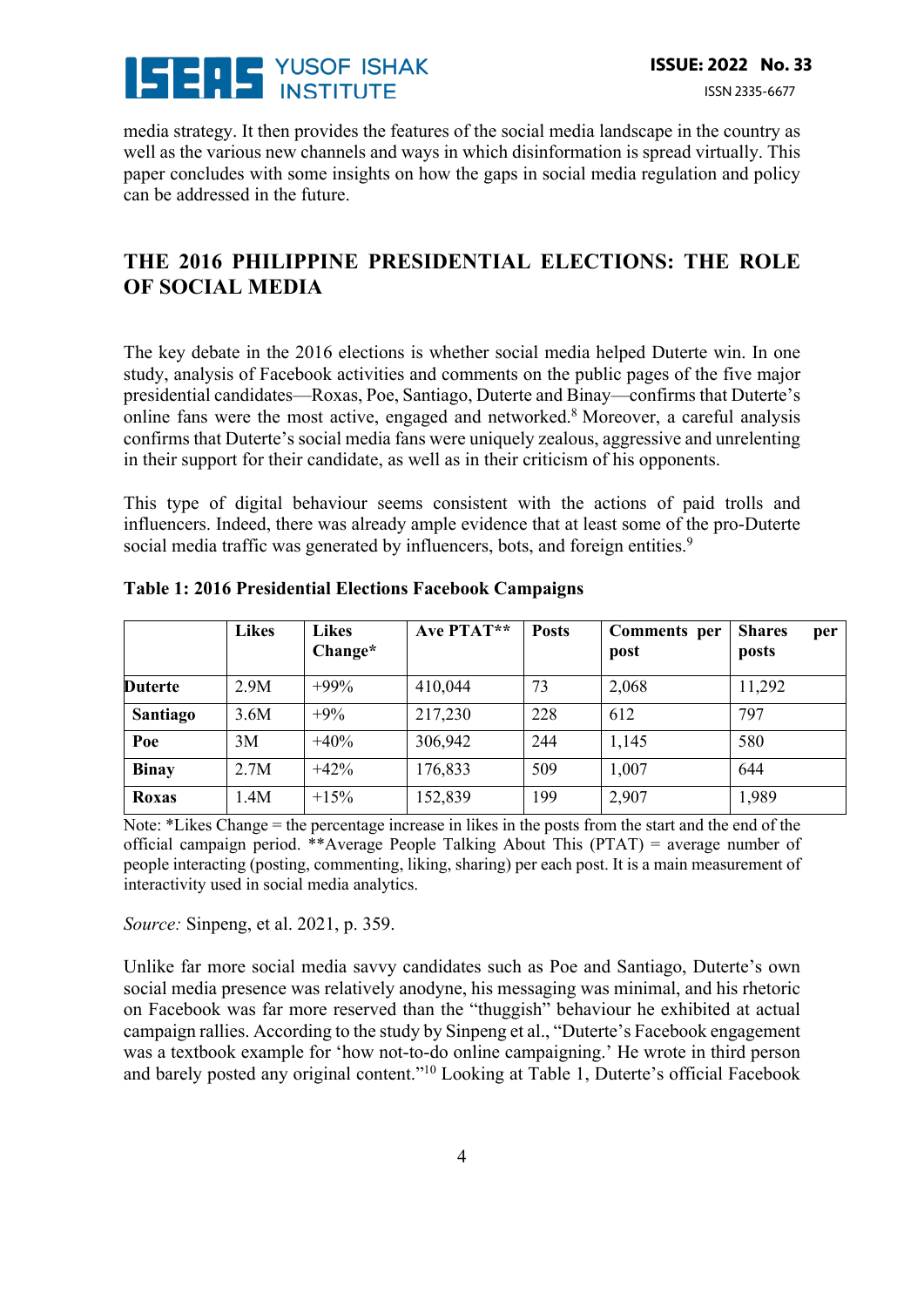

media strategy. It then provides the features of the social media landscape in the country as well as the various new channels and ways in which disinformation is spread virtually. This paper concludes with some insights on how the gaps in social media regulation and policy can be addressed in the future.

### **THE 2016 PHILIPPINE PRESIDENTIAL ELECTIONS: THE ROLE OF SOCIAL MEDIA**

The key debate in the 2016 elections is whether social media helped Duterte win. In one study, analysis of Facebook activities and comments on the public pages of the five major presidential candidates—Roxas, Poe, Santiago, Duterte and Binay—confirms that Duterte's online fans were the most active, engaged and networked.8 Moreover, a careful analysis confirms that Duterte's social media fans were uniquely zealous, aggressive and unrelenting in their support for their candidate, as well as in their criticism of his opponents.

This type of digital behaviour seems consistent with the actions of paid trolls and influencers. Indeed, there was already ample evidence that at least some of the pro-Duterte social media traffic was generated by influencers, bots, and foreign entities.<sup>9</sup>

|                | <b>Likes</b> | <b>Likes</b><br>Change* | Ave PTAT** | <b>Posts</b> | <b>Comments</b> per<br>post | <b>Shares</b><br>per<br>posts |
|----------------|--------------|-------------------------|------------|--------------|-----------------------------|-------------------------------|
| <b>Duterte</b> | 2.9M         | $+99%$                  | 410,044    | 73           | 2,068                       | 11,292                        |
| Santiago       | 3.6M         | $+9%$                   | 217,230    | 228          | 612                         | 797                           |
| Poe            | 3M           | $+40%$                  | 306,942    | 244          | 1,145                       | 580                           |
| <b>Binav</b>   | 2.7M         | $+42%$                  | 176,833    | 509          | 1,007                       | 644                           |
| Roxas          | 1.4M         | $+15%$                  | 152,839    | 199          | 2,907                       | 1,989                         |

**Table 1: 2016 Presidential Elections Facebook Campaigns**

Note: \*Likes Change = the percentage increase in likes in the posts from the start and the end of the official campaign period. \*\*Average People Talking About This (PTAT) = average number of people interacting (posting, commenting, liking, sharing) per each post. It is a main measurement of interactivity used in social media analytics.

*Source:* Sinpeng, et al. 2021, p. 359.

Unlike far more social media savvy candidates such as Poe and Santiago, Duterte's own social media presence was relatively anodyne, his messaging was minimal, and his rhetoric on Facebook was far more reserved than the "thuggish" behaviour he exhibited at actual campaign rallies. According to the study by Sinpeng et al., "Duterte's Facebook engagement was a textbook example for 'how not-to-do online campaigning.' He wrote in third person and barely posted any original content."10 Looking at Table 1, Duterte's official Facebook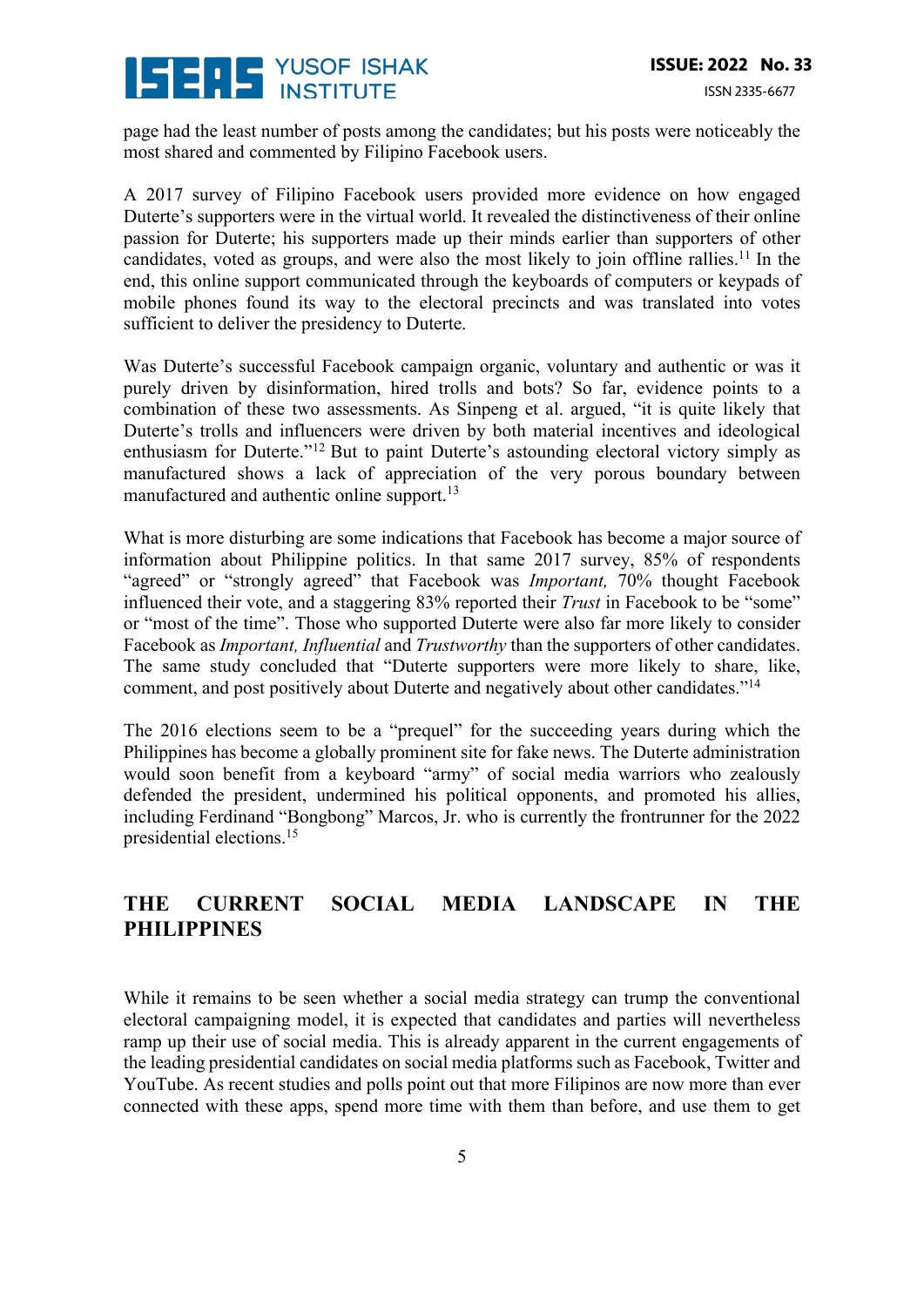# **SEDS** YUSOF ISHAK

page had the least number of posts among the candidates; but his posts were noticeably the most shared and commented by Filipino Facebook users.

A 2017 survey of Filipino Facebook users provided more evidence on how engaged Duterte's supporters were in the virtual world. It revealed the distinctiveness of their online passion for Duterte; his supporters made up their minds earlier than supporters of other candidates, voted as groups, and were also the most likely to join offline rallies.<sup>11</sup> In the end, this online support communicated through the keyboards of computers or keypads of mobile phones found its way to the electoral precincts and was translated into votes sufficient to deliver the presidency to Duterte.

Was Duterte's successful Facebook campaign organic, voluntary and authentic or was it purely driven by disinformation, hired trolls and bots? So far, evidence points to a combination of these two assessments. As Sinpeng et al. argued, "it is quite likely that Duterte's trolls and influencers were driven by both material incentives and ideological enthusiasm for Duterte."<sup>12</sup> But to paint Duterte's astounding electoral victory simply as manufactured shows a lack of appreciation of the very porous boundary between manufactured and authentic online support.<sup>13</sup>

What is more disturbing are some indications that Facebook has become a major source of information about Philippine politics. In that same 2017 survey, 85% of respondents "agreed" or "strongly agreed" that Facebook was *Important,* 70% thought Facebook influenced their vote, and a staggering 83% reported their *Trust* in Facebook to be "some" or "most of the time". Those who supported Duterte were also far more likely to consider Facebook as *Important, Influential* and *Trustworthy* than the supporters of other candidates. The same study concluded that "Duterte supporters were more likely to share, like, comment, and post positively about Duterte and negatively about other candidates."14

The 2016 elections seem to be a "prequel" for the succeeding years during which the Philippines has become a globally prominent site for fake news. The Duterte administration would soon benefit from a keyboard "army" of social media warriors who zealously defended the president, undermined his political opponents, and promoted his allies, including Ferdinand "Bongbong" Marcos, Jr. who is currently the frontrunner for the 2022 presidential elections.15

### **THE CURRENT SOCIAL MEDIA LANDSCAPE IN THE PHILIPPINES**

While it remains to be seen whether a social media strategy can trump the conventional electoral campaigning model, it is expected that candidates and parties will nevertheless ramp up their use of social media. This is already apparent in the current engagements of the leading presidential candidates on social media platforms such as Facebook, Twitter and YouTube. As recent studies and polls point out that more Filipinos are now more than ever connected with these apps, spend more time with them than before, and use them to get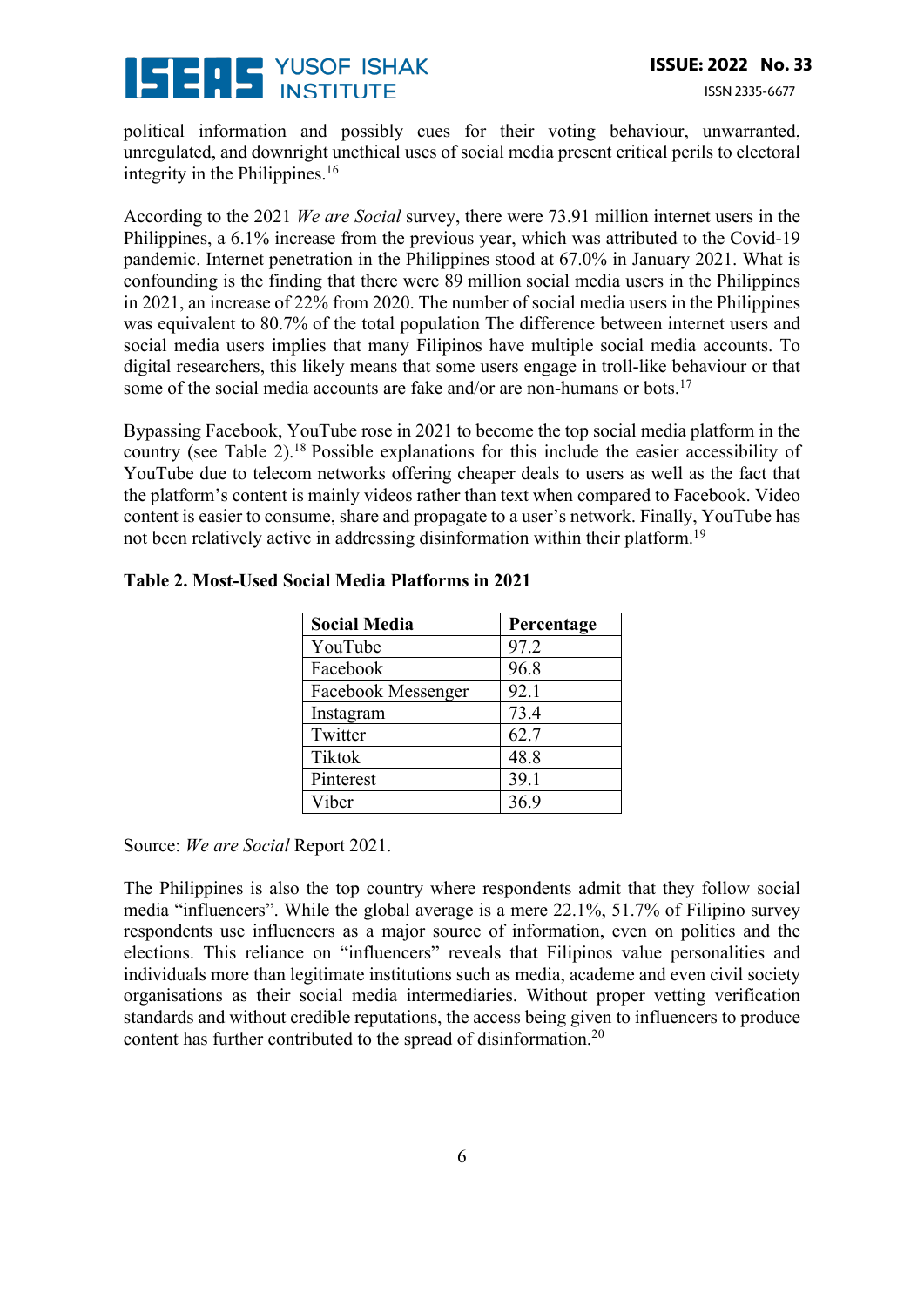# **SENS YUSOF ISHAK**

political information and possibly cues for their voting behaviour, unwarranted, unregulated, and downright unethical uses of social media present critical perils to electoral integrity in the Philippines. $16$ 

According to the 2021 *We are Social* survey, there were 73.91 million internet users in the Philippines, a 6.1% increase from the previous year, which was attributed to the Covid-19 pandemic. Internet penetration in the Philippines stood at 67.0% in January 2021. What is confounding is the finding that there were 89 million social media users in the Philippines in 2021, an increase of 22% from 2020. The number of social media users in the Philippines was equivalent to 80.7% of the total population The difference between internet users and social media users implies that many Filipinos have multiple social media accounts. To digital researchers, this likely means that some users engage in troll-like behaviour or that some of the social media accounts are fake and/or are non-humans or bots.<sup>17</sup>

Bypassing Facebook, YouTube rose in 2021 to become the top social media platform in the country (see Table 2).18 Possible explanations for this include the easier accessibility of YouTube due to telecom networks offering cheaper deals to users as well as the fact that the platform's content is mainly videos rather than text when compared to Facebook. Video content is easier to consume, share and propagate to a user's network. Finally, YouTube has not been relatively active in addressing disinformation within their platform.<sup>19</sup>

| <b>Social Media</b> | Percentage |
|---------------------|------------|
| YouTube             | 97.2       |
| Facebook            | 96.8       |
| Facebook Messenger  | 92.1       |
| Instagram           | 73.4       |
| Twitter             | 62.7       |
| <b>Tiktok</b>       | 48.8       |
| Pinterest           | 39.1       |
| Viber               | 36.9       |

#### **Table 2. Most-Used Social Media Platforms in 2021**

Source: *We are Social* Report 2021.

The Philippines is also the top country where respondents admit that they follow social media "influencers". While the global average is a mere 22.1%, 51.7% of Filipino survey respondents use influencers as a major source of information, even on politics and the elections. This reliance on "influencers" reveals that Filipinos value personalities and individuals more than legitimate institutions such as media, academe and even civil society organisations as their social media intermediaries. Without proper vetting verification standards and without credible reputations, the access being given to influencers to produce content has further contributed to the spread of disinformation.20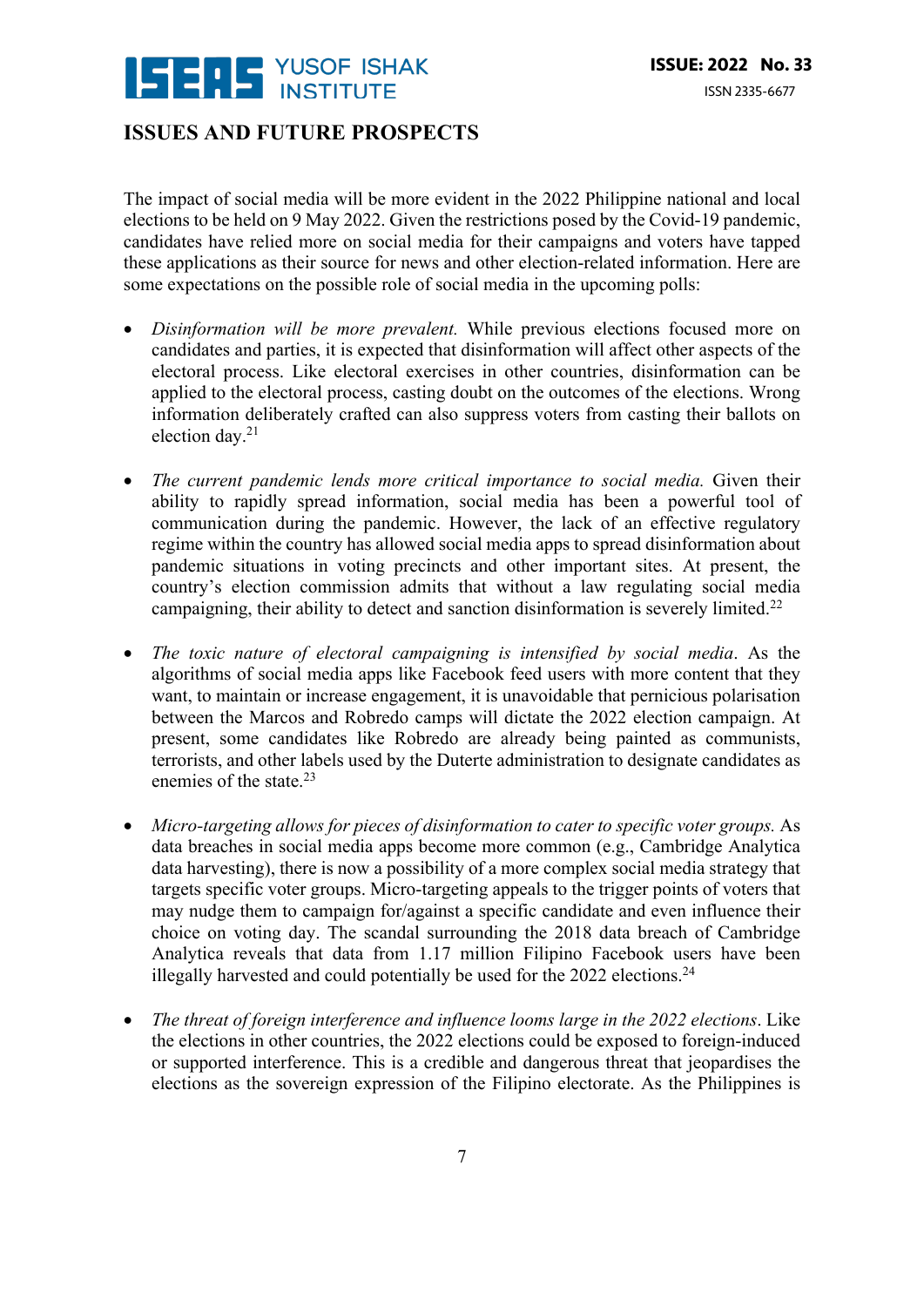

#### **ISSUES AND FUTURE PROSPECTS**

The impact of social media will be more evident in the 2022 Philippine national and local elections to be held on 9 May 2022. Given the restrictions posed by the Covid-19 pandemic, candidates have relied more on social media for their campaigns and voters have tapped these applications as their source for news and other election-related information. Here are some expectations on the possible role of social media in the upcoming polls:

- *Disinformation will be more prevalent.* While previous elections focused more on candidates and parties, it is expected that disinformation will affect other aspects of the electoral process. Like electoral exercises in other countries, disinformation can be applied to the electoral process, casting doubt on the outcomes of the elections. Wrong information deliberately crafted can also suppress voters from casting their ballots on election day.21
- *The current pandemic lends more critical importance to social media.* Given their ability to rapidly spread information, social media has been a powerful tool of communication during the pandemic. However, the lack of an effective regulatory regime within the country has allowed social media apps to spread disinformation about pandemic situations in voting precincts and other important sites. At present, the country's election commission admits that without a law regulating social media campaigning, their ability to detect and sanction disinformation is severely limited.<sup>22</sup>
- *The toxic nature of electoral campaigning is intensified by social media*. As the algorithms of social media apps like Facebook feed users with more content that they want, to maintain or increase engagement, it is unavoidable that pernicious polarisation between the Marcos and Robredo camps will dictate the 2022 election campaign. At present, some candidates like Robredo are already being painted as communists, terrorists, and other labels used by the Duterte administration to designate candidates as enemies of the state.23
- *Micro-targeting allows for pieces of disinformation to cater to specific voter groups.* As data breaches in social media apps become more common (e.g., Cambridge Analytica data harvesting), there is now a possibility of a more complex social media strategy that targets specific voter groups. Micro-targeting appeals to the trigger points of voters that may nudge them to campaign for/against a specific candidate and even influence their choice on voting day. The scandal surrounding the 2018 data breach of Cambridge Analytica reveals that data from 1.17 million Filipino Facebook users have been illegally harvested and could potentially be used for the  $2022$  elections.<sup>24</sup>
- *The threat of foreign interference and influence looms large in the 2022 elections*. Like the elections in other countries, the 2022 elections could be exposed to foreign-induced or supported interference. This is a credible and dangerous threat that jeopardises the elections as the sovereign expression of the Filipino electorate. As the Philippines is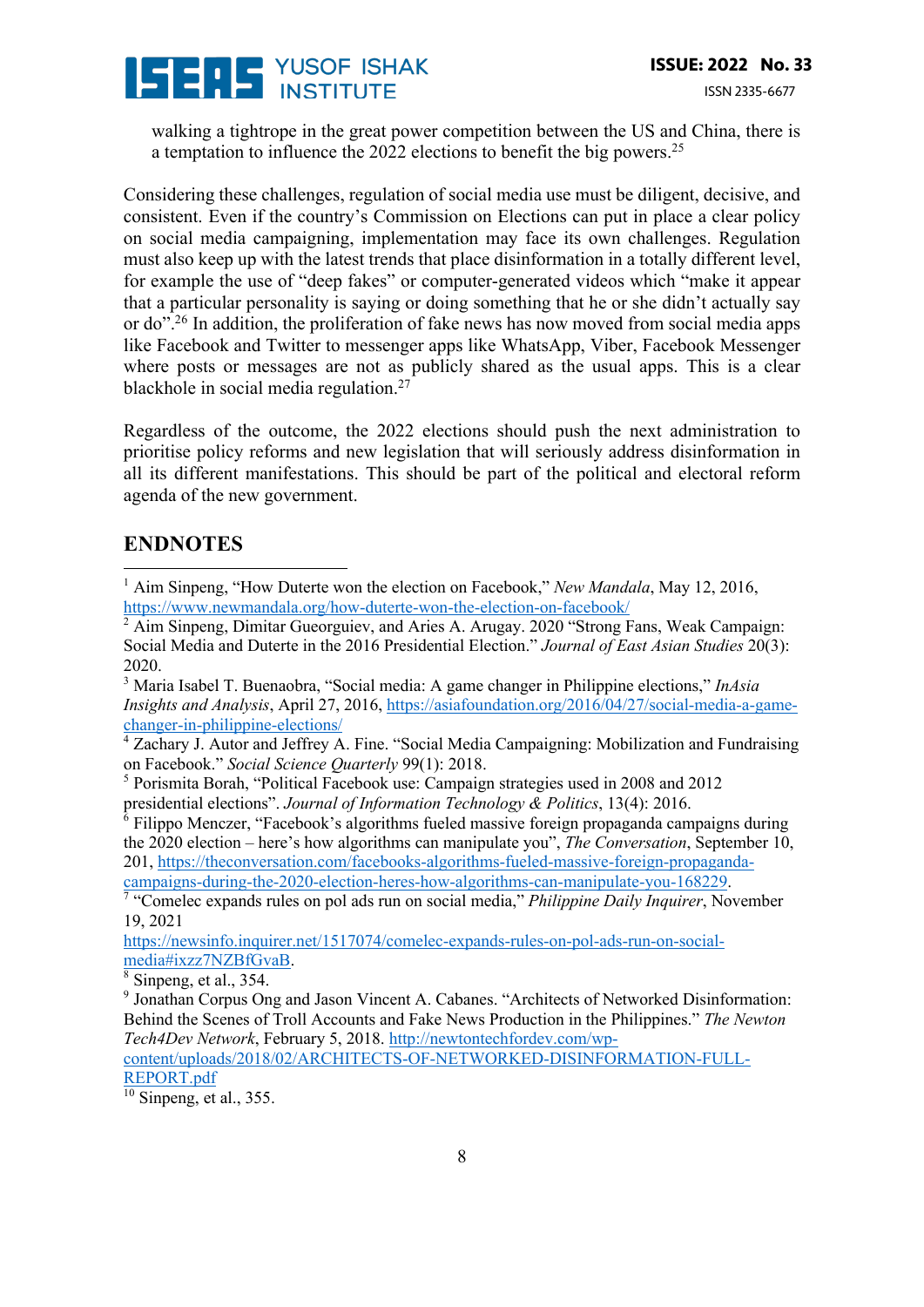# **SENS YUSOF ISHAK**

walking a tightrope in the great power competition between the US and China, there is a temptation to influence the 2022 elections to benefit the big powers.<sup>25</sup>

Considering these challenges, regulation of social media use must be diligent, decisive, and consistent. Even if the country's Commission on Elections can put in place a clear policy on social media campaigning, implementation may face its own challenges. Regulation must also keep up with the latest trends that place disinformation in a totally different level, for example the use of "deep fakes" or computer-generated videos which "make it appear that a particular personality is saying or doing something that he or she didn't actually say or do".<sup>26</sup> In addition, the proliferation of fake news has now moved from social media apps like Facebook and Twitter to messenger apps like WhatsApp, Viber, Facebook Messenger where posts or messages are not as publicly shared as the usual apps. This is a clear blackhole in social media regulation.<sup>27</sup>

Regardless of the outcome, the 2022 elections should push the next administration to prioritise policy reforms and new legislation that will seriously address disinformation in all its different manifestations. This should be part of the political and electoral reform agenda of the new government.

### **ENDNOTES**

<sup>3</sup> Maria Isabel T. Buenaobra, "Social media: A game changer in Philippine elections," *InAsia Insights and Analysis*, April 27, 2016, https://asiafoundation.org/2016/04/27/social-media-a-gamechanger-in-philippine-elections/

 $\frac{4}{3}$  Zachary J. Autor and Jeffrey A. Fine. "Social Media Campaigning: Mobilization and Fundraising on Facebook." *Social Science Quarterly* 99(1): 2018.

<sup>5</sup> Porismita Borah, "Political Facebook use: Campaign strategies used in 2008 and 2012 presidential elections". *Journal of Information Technology & Politics*, 13(4): 2016.

 $6$  Filippo Menczer, "Facebook's algorithms fueled massive foreign propaganda campaigns during the 2020 election – here's how algorithms can manipulate you", *The Conversation*, September 10, 201, https://theconversation.com/facebooks-algorithms-fueled-massive-foreign-propaganda-

campaigns-during-the-2020-election-heres-how-algorithms-can-manipulate-you-168229. 7 "Comelec expands rules on pol ads run on social media," *Philippine Daily Inquirer*, November 19, 2021

https://newsinfo.inquirer.net/1517074/comelec-expands-rules-on-pol-ads-run-on-socialmedia#ixzz7NZBfGvaB.

 $\frac{8}{8}$  Sinpeng, et al., 354.

<sup>9</sup> Jonathan Corpus Ong and Jason Vincent A. Cabanes. "Architects of Networked Disinformation: Behind the Scenes of Troll Accounts and Fake News Production in the Philippines." *The Newton Tech4Dev Network*, February 5, 2018. http://newtontechfordev.com/wpcontent/uploads/2018/02/ARCHITECTS-OF-NETWORKED-DISINFORMATION-FULL-

REPORT.pdf

 $\frac{10}{10}$  Sinpeng, et al., 355.

<sup>&</sup>lt;sup>1</sup> Aim Sinpeng, "How Duterte won the election on Facebook," *New Mandala*, May 12, 2016, https://www.newmandala.org/how-duterte-won-the-election-on-facebook/

 $2 \text{ A}$ im Sinpeng, Dimitar Gueorguiev, and Aries A. Arugay. 2020 "Strong Fans, Weak Campaign: Social Media and Duterte in the 2016 Presidential Election." *Journal of East Asian Studies* 20(3): 2020.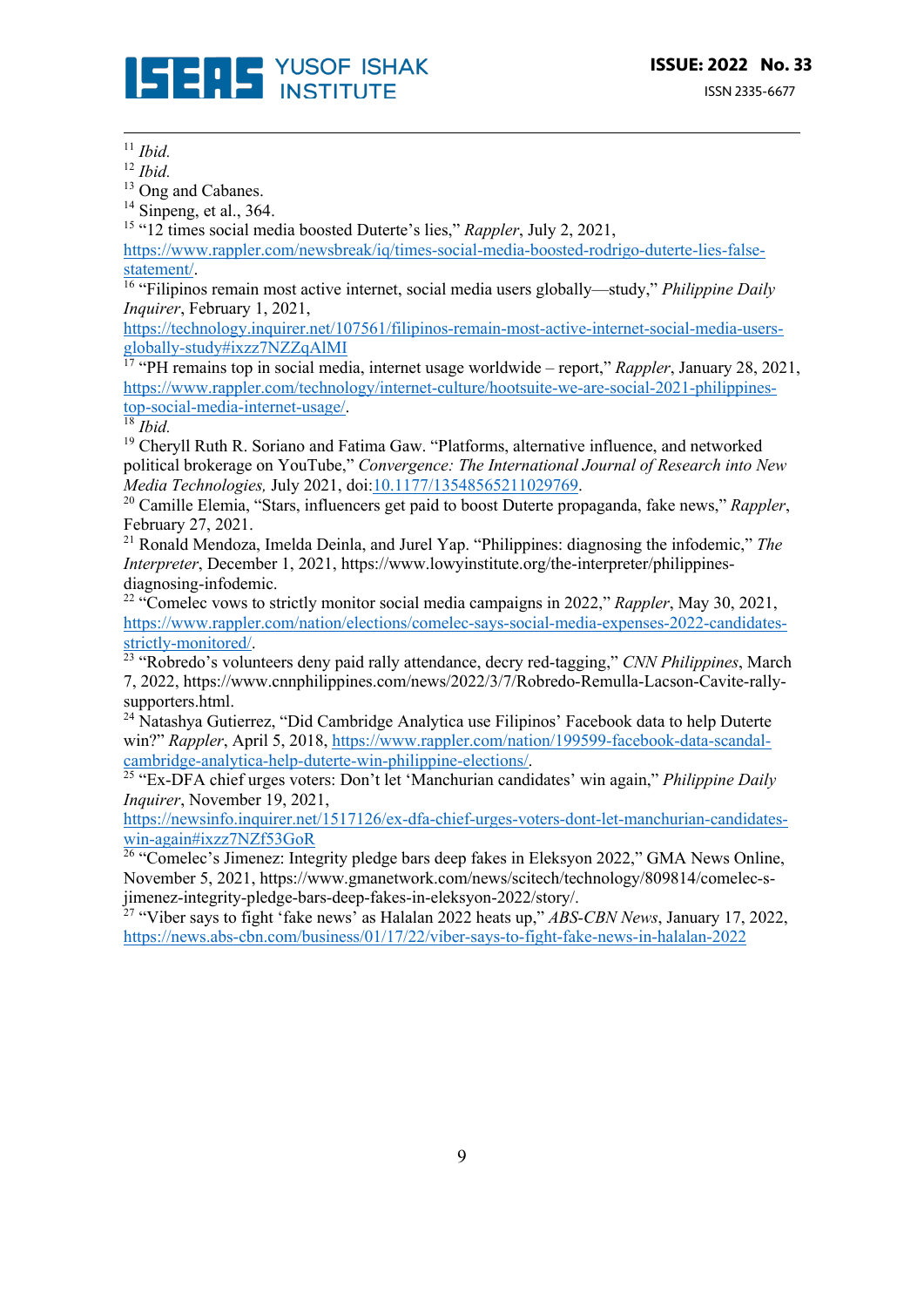

<sup>11</sup> *Ibid.*

<sup>12</sup> *Ibid.*

<sup>13</sup> Ong and Cabanes.

 $14$  Sinpeng, et al., 364.

<sup>15</sup> "12 times social media boosted Duterte's lies," *Rappler*, July 2, 2021,

https://www.rappler.com/newsbreak/iq/times-social-media-boosted-rodrigo-duterte-lies-false-

statement/. 16 "Filipinos remain most active internet, social media users globally—study," *Philippine Daily Inquirer*, February 1, 2021,

https://technology.inquirer.net/107561/filipinos-remain-most-active-internet-social-media-usersglobally-study#ixzz7NZZqAlMI

<sup>17</sup> "PH remains top in social media, internet usage worldwide – report," *Rappler*, January 28, 2021, https://www.rappler.com/technology/internet-culture/hootsuite-we-are-social-2021-philippinestop-social-media-internet-usage/. 18 *Ibid.*

<sup>19</sup> Cheryll Ruth R. Soriano and Fatima Gaw. "Platforms, alternative influence, and networked political brokerage on YouTube," *Convergence: The International Journal of Research into New Media Technologies,* July 2021, doi:10.1177/13548565211029769.

<sup>20</sup> Camille Elemia, "Stars, influencers get paid to boost Duterte propaganda, fake news," *Rappler*, February 27, 2021.

<sup>21</sup> Ronald Mendoza, Imelda Deinla, and Jurel Yap. "Philippines: diagnosing the infodemic," *The Interpreter*, December 1, 2021, https://www.lowyinstitute.org/the-interpreter/philippinesdiagnosing-infodemic.

<sup>22</sup> "Comelec vows to strictly monitor social media campaigns in 2022," *Rappler*, May 30, 2021, https://www.rappler.com/nation/elections/comelec-says-social-media-expenses-2022-candidates-

<sup>23</sup> "Robredo's volunteers deny paid rally attendance, decry red-tagging," *CNN Philippines*, March 7, 2022, https://www.cnnphilippines.com/news/2022/3/7/Robredo-Remulla-Lacson-Cavite-rallysupporters.html.

<sup>24</sup> Natashya Gutierrez, "Did Cambridge Analytica use Filipinos' Facebook data to help Duterte win?" *Rappler*, April 5, 2018, https://www.rappler.com/nation/199599-facebook-data-scandalcambridge-analytica-help-duterte-win-philippine-elections/. 25 "Ex-DFA chief urges voters: Don't let 'Manchurian candidates' win again," *Philippine Daily* 

*Inquirer*, November 19, 2021,

https://newsinfo.inquirer.net/1517126/ex-dfa-chief-urges-voters-dont-let-manchurian-candidateswin-again#ixzz7NZf53GoR

 $\frac{1}{26}$  "Comelec's Jimenez: Integrity pledge bars deep fakes in Eleksyon 2022," GMA News Online, November 5, 2021, https://www.gmanetwork.com/news/scitech/technology/809814/comelec-sjimenez-integrity-pledge-bars-deep-fakes-in-eleksyon-2022/story/.

<sup>27</sup> "Viber says to fight 'fake news' as Halalan 2022 heats up," *ABS-CBN News*, January 17, 2022, https://news.abs-cbn.com/business/01/17/22/viber-says-to-fight-fake-news-in-halalan-2022